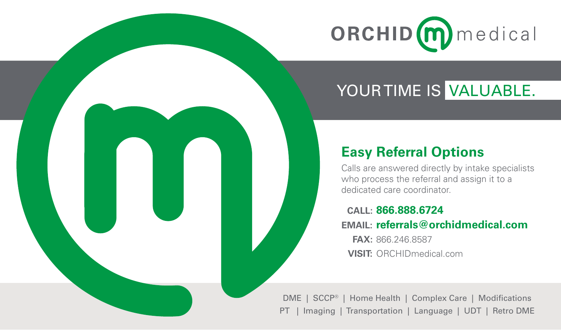

## YOUR TIME IS VALUABLE.

### **Easy Referral Options**

Calls are answered directly by intake specialists who process the referral and assign it to a dedicated care coordinator.

### **CALL: 866.888.6724 EMAIL: referrals@orchidmedical.com**

**FAX:** 866.246.8587 **VISIT:** ORCHIDmedical.com

DME | SCCP® | Home Health | Complex Care | Modifications PT | Imaging | Transportation | Language | UDT | Retro DME